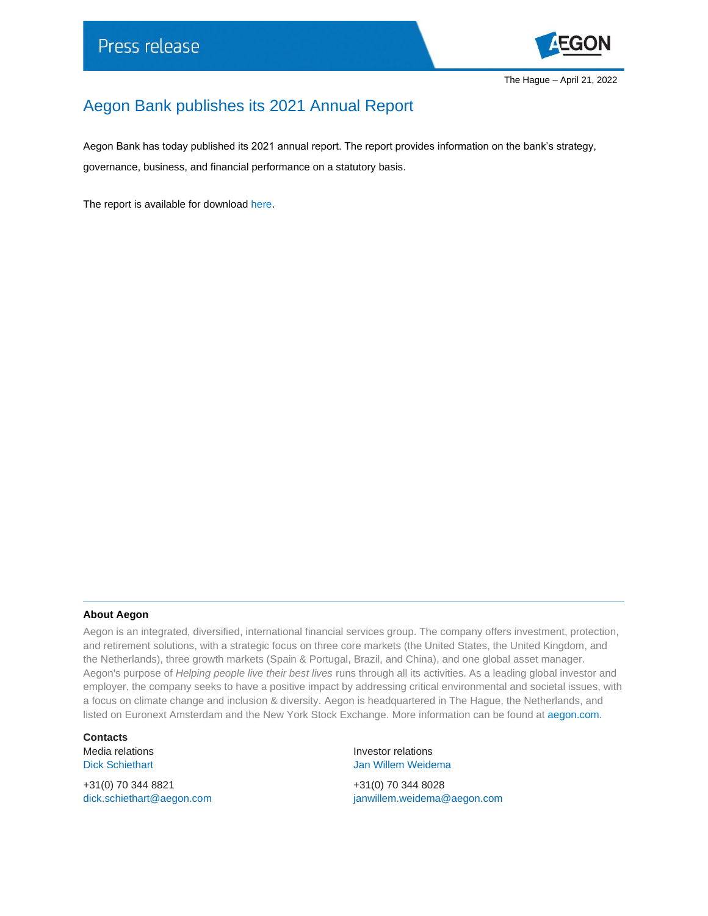

## Aegon Bank publishes its 2021 Annual Report

Aegon Bank has today published its 2021 annual report. The report provides information on the bank's strategy, governance, business, and financial performance on a statutory basis.

The report is available for download [here.](https://www.aegon.com/aegon-bank-annual-report-2021/)

## **About Aegon**

Aegon is an integrated, diversified, international financial services group. The company offers investment, protection, and retirement solutions, with a strategic focus on three core markets (the United States, the United Kingdom, and the Netherlands), three growth markets (Spain & Portugal, Brazil, and China), and one global asset manager. Aegon's purpose of *Helping people live their best lives* runs through all its activities. As a leading global investor and employer, the company seeks to have a positive impact by addressing critical environmental and societal issues, with a focus on climate change and inclusion & diversity. Aegon is headquartered in The Hague, the Netherlands, and listed on Euronext Amsterdam and the New York Stock Exchange. More information can be found at [aegon.com.](http://www.aegon.com/about/)

**Contacts**

+31(0) 70 344 8821 +31(0) 70 344 8028

Media relations **Investor relations** Dick Schiethart **Disk Schiethart** Jan Willem Weidema

[dick.schiethart@aegon.com](mailto:dick.schiethart@aegon.com) [janwillem.weidema@aegon.com](mailto:janwillem.weidema@aegon.com)